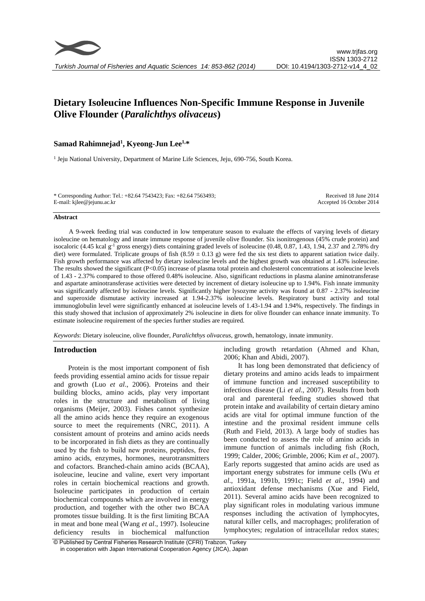# **Dietary Isoleucine Influences Non-Specific Immune Response in Juvenile Olive Flounder (***Paralichthys olivaceus***)**

# **Samad Rahimnejad<sup>1</sup> , Kyeong-Jun Lee1,\***

<sup>1</sup> Jeju National University, Department of Marine Life Sciences, Jeju, 690-756, South Korea.

\* Corresponding Author: Tel.: +82.64 7543423; Fax: +82.64 7563493; E-mail: kjlee@jejunu.ac.kr

Received 18 June 2014 Accepted 16 October 2014

#### **Abstract**

A 9-week feeding trial was conducted in low temperature season to evaluate the effects of varying levels of dietary isoleucine on hematology and innate immune response of juvenile olive flounder. Six isonitrogenous (45% crude protein) and isocaloric (4.45 kcal  $g<sup>-1</sup>$  gross energy) diets containing graded levels of isoleucine (0.48, 0.87, 1.43, 1.94, 2.37 and 2.78% dry diet) were formulated. Triplicate groups of fish  $(8.59 \pm 0.13 \text{ g})$  were fed the six test diets to apparent satiation twice daily. Fish growth performance was affected by dietary isoleucine levels and the highest growth was obtained at 1.43% isoleucine. The results showed the significant (P<0.05) increase of plasma total protein and cholesterol concentrations at isoleucine levels of 1.43 - 2.37% compared to those offered 0.48% isoleucine. Also, significant reductions in plasma alanine aminotransferase and aspartate aminotransferase activities were detected by increment of dietary isoleucine up to 1.94%. Fish innate immunity was significantly affected by isoleucine levels. Significantly higher lysozyme activity was found at 0.87 - 2.37% isoleucine and superoxide dismutase activity increased at 1.94-2.37% isoleucine levels. Respiratory burst activity and total immunoglobulin level were significantly enhanced at isoleucine levels of 1.43-1.94 and 1.94%, respectively. The findings in this study showed that inclusion of approximately 2% isoleucine in diets for olive flounder can enhance innate immunity. To estimate isoleucine requirement of the species further studies are required.

*Keywords*: Dietary isoleucine, olive flounder, *Paralichthys olivaceus*, growth, hematology, innate immunity.

### **Introduction**

Protein is the most important component of fish feeds providing essential amino acids for tissue repair and growth (Luo *et al*., 2006). Proteins and their building blocks, amino acids, play very important roles in the structure and metabolism of living organisms (Meijer, 2003). Fishes cannot synthesize all the amino acids hence they require an exogenous source to meet the requirements (NRC, 2011). A consistent amount of proteins and amino acids needs to be incorporated in fish diets as they are continually used by the fish to build new proteins, peptides, free amino acids, enzymes, hormones, neurotransmitters and cofactors. Branched-chain amino acids (BCAA), isoleucine, leucine and valine, exert very important roles in certain biochemical reactions and growth. Isoleucine participates in production of certain biochemical compounds which are involved in energy production, and together with the other two BCAA promotes tissue building. It is the first limiting BCAA in meat and bone meal (Wang *et al*., 1997). Isoleucine deficiency results in biochemical malfunction including growth retardation (Ahmed and Khan, 2006; Khan and Abidi, 2007).

It has long been demonstrated that deficiency of dietary proteins and amino acids leads to impairment of immune function and increased susceptibility to infectious disease (Li *et al*., 2007). Results from both oral and parenteral feeding studies showed that protein intake and availability of certain dietary amino acids are vital for optimal immune function of the intestine and the proximal resident immune cells (Ruth and Field, 2013). A large body of studies has been conducted to assess the role of amino acids in immune function of animals including fish (Roch, 1999; Calder, 2006; Grimble, 2006; Kim *et al*., 2007). Early reports suggested that amino acids are used as important energy substrates for immune cells (Wu *et al*., 1991a, 1991b, 1991c; Field *et al*., 1994) and antioxidant defense mechanisms (Xue and Field, 2011). Several amino acids have been recognized to play significant roles in modulating various immune responses including the activation of lymphocytes, natural killer cells, and macrophages; proliferation of lymphocytes; regulation of intracellular redox states;

<sup>©</sup> Published by Central Fisheries Research Institute (CFRI) Trabzon, Turkey in cooperation with Japan International Cooperation Agency (JICA), Japan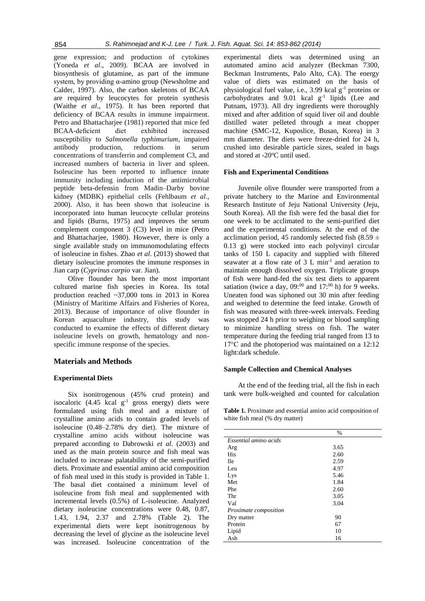gene expression; and production of cytokines (Yoneda *et al*., 2009). BCAA are involved in biosynthesis of glutamine, as part of the immune system, by providing α-amino group (Newsholme and Calder, 1997). Also, the carbon skeletons of BCAA are required by leucocytes for protein synthesis (Waithe *et al*., 1975). It has been reported that deficiency of BCAA results in immune impairment. Petro and Bhattacharjee (1981) reported that mice fed BCAA-deficient diet exhibited increased susceptibility to *Salmonella typhimurium*, impaired antibody production, reductions in serum concentrations of transferrin and complement C3, and increased numbers of bacteria in liver and spleen. Isoleucine has been reported to influence innate immunity including induction of the antimicrobial peptide beta-defensin from Madin–Darby bovine kidney (MDBK) epithelial cells (Fehlbaum *et al*., 2000). Also, it has been shown that isoleucine is incorporated into human leucocyte cellular proteins and lipids (Burns, 1975) and improves the serum complement component 3 (C3) level in mice (Petro and Bhattacharjee, 1980). However, there is only a single available study on immunomodulating effects of isoleucine in fishes. Zhao *et al*. (2013) showed that dietary isoleucine promotes the immune responses in Jian carp (*Cyprinus carpio* var. Jian).

Olive flounder has been the most important cultured marine fish species in Korea. Its total production reached ~37,000 tons in 2013 in Korea (Ministry of Maritime Affairs and Fisheries of Korea, 2013). Because of importance of olive flounder in Korean aquaculture industry, this study was conducted to examine the effects of different dietary isoleucine levels on growth, hematology and nonspecific immune response of the species.

# **Materials and Methods**

### **Experimental Diets**

Six isonitrogenous (45% crud protein) and isocaloric  $(4.45 \text{ kcal g}^{-1} \text{ gross energy})$  diets were formulated using fish meal and a mixture of crystalline amino acids to contain graded levels of isoleucine (0.48–2.78% dry diet). The mixture of crystalline amino acids without isoleucine was prepared according to Dabrowski *et al*. (2003) and used as the main protein source and fish meal was included to increase palatability of the semi-purified diets. Proximate and essential amino acid composition of fish meal used in this study is provided in Table 1. The basal diet contained a minimum level of isoleucine from fish meal and supplemented with incremental levels (0.5%) of L-isoleucine. Analyzed dietary isoleucine concentrations were 0.48, 0.87, 1.43, 1.94, 2.37 and 2.78% (Table 2). The experimental diets were kept isonitrogenous by decreasing the level of glycine as the isoleucine level was increased. Isoleucine concentration of the experimental diets was determined using an automated amino acid analyzer (Beckman 7300, Beckman Instruments, Palo Alto, CA). The energy value of diets was estimated on the basis of physiological fuel value, i.e., 3.99 kcal  $g^{-1}$  proteins or carbohydrates and  $9.01$  kcal  $g^{-1}$  lipids (Lee and Putnam, 1973). All dry ingredients were thoroughly mixed and after addition of squid liver oil and double distilled water pelleted through a meat chopper machine (SMC-12, Kuposlice, Busan, Korea) in 3 mm diameter. The diets were freeze-dried for 24 h, crushed into desirable particle sizes, sealed in bags and stored at -20°C until used.

### **Fish and Experimental Conditions**

Juvenile olive flounder were transported from a private hatchery to the Marine and Environmental Research Institute of Jeju National University (Jeju, South Korea). All the fish were fed the basal diet for one week to be acclimated to the semi-purified diet and the experimental conditions. At the end of the acclimation period, 45 randomly selected fish (8.59  $\pm$ 0.13 g) were stocked into each polyvinyl circular tanks of 150 L capacity and supplied with filtered seawater at a flow rate of  $3 L \text{ min}^{-1}$  and aeration to maintain enough dissolved oxygen. Triplicate groups of fish were hand-fed the six test diets to apparent satiation (twice a day,  $0.09^{0.00}$  and  $17^{0.00}$  h) for 9 weeks. Uneaten food was siphoned out 30 min after feeding and weighed to determine the feed intake. Growth of fish was measured with three-week intervals. Feeding was stopped 24 h prior to weighing or blood sampling to minimize handling stress on fish. The water temperature during the feeding trial ranged from 13 to 17°C and the photoperiod was maintained on a 12:12 light:dark schedule.

### **Sample Collection and Chemical Analyses**

At the end of the feeding trial, all the fish in each tank were bulk-weighed and counted for calculation

**Table 1.** Proximate and essential amino acid composition of white fish meal (% dry matter)

|                       | $\%$ |
|-----------------------|------|
| Essential amino acids |      |
| Arg                   | 3.65 |
| <b>His</b>            | 2.60 |
| <b>Ile</b>            | 2.59 |
| Leu                   | 4.97 |
| Lys                   | 5.46 |
| Met                   | 1.84 |
| Phe                   | 2.60 |
| Thr                   | 3.05 |
| Val                   | 3.04 |
| Proximate composition |      |
| Dry matter            | 90   |
| Protein               | 67   |
| Lipid                 | 10   |
| Ash                   | 16   |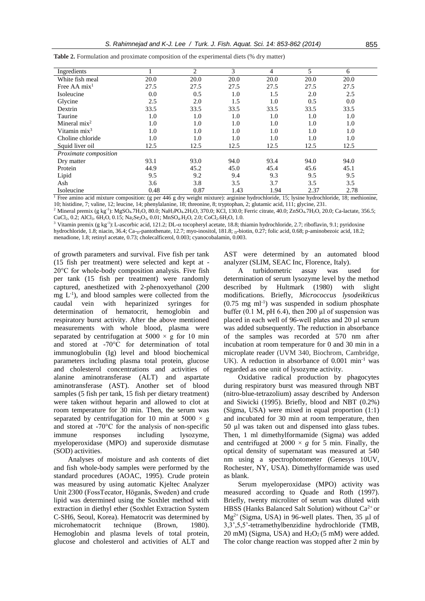| Ingredients              |      | 2       | 3    | 4    | 5    | 6    |
|--------------------------|------|---------|------|------|------|------|
| White fish meal          | 20.0 | 20.0    | 20.0 | 20.0 | 20.0 | 20.0 |
| Free AA $mix1$           | 27.5 | 27.5    | 27.5 | 27.5 | 27.5 | 27.5 |
| Isoleucine               | 0.0  | 0.5     | 1.0  | 1.5  | 2.0  | 2.5  |
| Glycine                  | 2.5  | 2.0     | 1.5  | 1.0  | 0.5  | 0.0  |
| Dextrin                  | 33.5 | 33.5    | 33.5 | 33.5 | 33.5 | 33.5 |
| Taurine                  | 1.0  | $1.0\,$ | 1.0  | 1.0  | 1.0  | 1.0  |
| Mineral $mix^2$          | 1.0  | 1.0     | 1.0  | 1.0  | 1.0  | 1.0  |
| Vitamin mix <sup>3</sup> | 1.0  | 1.0     | 1.0  | 1.0  | 1.0  | 1.0  |
| Choline chloride         | 1.0  | 1.0     | 1.0  | 1.0  | 1.0  | 1.0  |
| Squid liver oil          | 12.5 | 12.5    | 12.5 | 12.5 | 12.5 | 12.5 |
| Proximate composition    |      |         |      |      |      |      |
| Dry matter               | 93.1 | 93.0    | 94.0 | 93.4 | 94.0 | 94.0 |
| Protein                  | 44.9 | 45.2    | 45.0 | 45.4 | 45.6 | 45.1 |
| Lipid                    | 9.5  | 9.2     | 9.4  | 9.3  | 9.5  | 9.5  |
| Ash                      | 3.6  | 3.8     | 3.5  | 3.7  | 3.5  | 3.5  |
| Isoleucine               | 0.48 | 0.87    | 1.43 | 1.94 | 2.37 | 2.78 |

**Table 2.** Formulation and proximate composition of the experimental diets (% dry matter)

<sup>1</sup> Free amino acid mixture composition: (g per 446 g dry weight mixture): arginine hydrochloride, 15; lysine hydrochloride, 18; methionine, 10; histidine, 7; valine, 12; leucine, 14; phenylalanine, 18; threonine, 8; tryptophan, 2; glutamic acid, 111; glycine, 231.

<sup>2</sup> Mineral premix (g kg<sup>-1</sup>): MgSO<sub>4</sub>.7H<sub>2</sub>O, 80.0; NaH<sub>2</sub>PO<sub>4</sub>.2H<sub>2</sub>O, 370.0; KCl, 130.0; Ferric citrate, 40.0; ZnSO<sub>4</sub>.7H<sub>2</sub>O, 20.0; Ca-lactate, 356.5; CuCl<sub>2</sub>, 0.2; AlCl<sub>3</sub>. 6H<sub>2</sub>O, 0.15; Na<sub>2</sub>Se<sub>2</sub>O<sub>3</sub>, 0.01; MnSO<sub>4</sub>.H<sub>2</sub>O, 2.0; CoCl<sub>2</sub>.6H<sub>2</sub>O, 1.0.

<sup>3</sup> Vitamin premix (g kg<sup>-1</sup>): L-ascorbic acid, 121.2; DL- $\alpha$  tocopheryl acetate, 18.8; thiamin hydrochloride, 2.7; riboflavin, 9.1; pyridoxine hydrochloride, 1.8; niacin, 36.4; Ca-p-pantothenate, 12.7; myo-inositol, 181.8; p-biotin, 0.27; folic acid, 0.68; p-aminobezoic acid, 18.2; menadione, 1.8; retinyl acetate, 0.73; cholecalficerol, 0.003; cyanocobalamin, 0.003.

of growth parameters and survival. Five fish per tank (15 fish per treatment) were selected and kept at - 20°C for whole-body composition analysis. Five fish per tank (15 fish per treatment) were randomly captured, anesthetized with 2-phenoxyethanol (200  $mg$   $L^{-1}$ ), and blood samples were collected from the caudal vein with heparinized syringes for determination of hematocrit, hemoglobin and respiratory burst activity. After the above mentioned measurements with whole blood, plasma were separated by centrifugation at  $5000 \times g$  for 10 min and stored at -70°C for determination of total immunoglobulin (Ig) level and blood biochemical parameters including plasma total protein, glucose and cholesterol concentrations and activities of alanine aminotransferase (ALT) and aspartate aminotransferase (AST). Another set of blood samples (5 fish per tank, 15 fish per dietary treatment) were taken without heparin and allowed to clot at room temperature for 30 min. Then, the serum was separated by centrifugation for 10 min at 5000  $\times$  g and stored at -70°C for the analysis of non-specific immune responses including lysozyme, myeloperoxidase (MPO) and superoxide dismutase (SOD) activities.

Analyses of moisture and ash contents of diet and fish whole-body samples were performed by the standard procedures (AOAC, 1995). Crude protein was measured by using automatic Kjeltec Analyzer Unit 2300 (FossTecator, Höganäs, Sweden) and crude lipid was determined using the Soxhlet method with extraction in diethyl ether (Soxhlet Extraction System C-SH6, Seoul, Korea). Hematocrit was determined by microhematocrit technique (Brown, 1980). Hemoglobin and plasma levels of total protein, glucose and cholesterol and activities of ALT and AST were determined by an automated blood analyzer (SLIM, SEAC Inc, Florence, Italy).

A turbidometric assay was used for determination of serum lysozyme level by the method described by Hultmark (1980) with slight modifications. Briefly, *Micrococcus lysodeikticus* (0.75 mg ml-1 ) was suspended in sodium phosphate buffer  $(0.1 \text{ M}, \text{pH } 6.4)$ , then 200 µl of suspension was placed in each well of 96-well plates and 20 µl serum was added subsequently. The reduction in absorbance of the samples was recorded at 570 nm after incubation at room temperature for 0 and 30 min in a microplate reader (UVM 340, Biochrom*,* Cambridge*,*  UK). A reduction in absorbance of  $0.001$  min<sup>-1</sup> was regarded as one unit of lysozyme activity.

Oxidative radical production by phagocytes during respiratory burst was measured through NBT (nitro-blue-tetrazolium) assay described by Anderson and Siwicki (1995). Briefly, blood and NBT (0.2%) (Sigma, USA) were mixed in equal proportion (1:1) and incubated for 30 min at room temperature, then 50 µl was taken out and dispensed into glass tubes. Then, 1 ml dimethylformamide (Sigma) was added and centrifuged at  $2000 \times g$  for 5 min. Finally, the optical density of supernatant was measured at 540 nm using a spectrophotometer (Genesys 10UV, Rochester, NY, USA). Dimethylformamide was used as blank.

Serum myeloperoxidase (MPO) activity was measured according to Quade and Roth (1997). Briefly, twenty microliter of serum was diluted with HBSS (Hanks Balanced Salt Solution) without  $Ca^{2+}$  or  $Mg^{2+}$  (Sigma, USA) in 96-well plates. Then, 35 µl of 3,3',5,5'-tetramethylbenzidine hydrochloride (TMB, 20 mM) (Sigma, USA) and  $H_2O_2(5 \text{ mM})$  were added. The color change reaction was stopped after 2 min by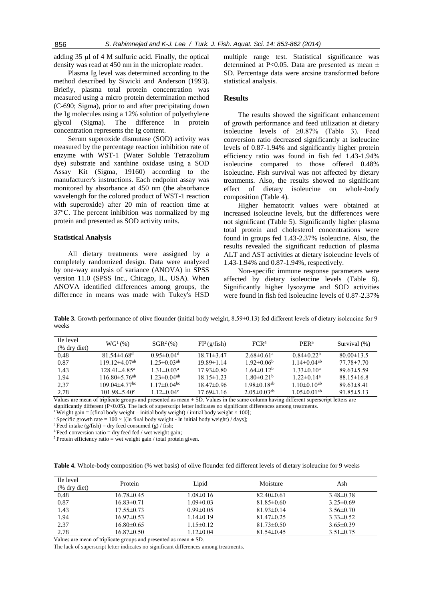adding 35 µl of 4 M sulfuric acid. Finally, the optical density was read at 450 nm in the microplate reader.

Plasma Ig level was determined according to the method described by Siwicki and Anderson (1993). Briefly, plasma total protein concentration was measured using a micro protein determination method (C-690; Sigma), prior to and after precipitating down the Ig molecules using a 12% solution of polyethylene glycol (Sigma). The difference in protein concentration represents the Ig content.

Serum superoxide dismutase (SOD) activity was measured by the percentage reaction inhibition rate of enzyme with WST-1 (Water Soluble Tetrazolium dye) substrate and xanthine oxidase using a SOD Assay Kit (Sigma, 19160) according to the manufacturer's instructions. Each endpoint assay was monitored by absorbance at 450 nm (the absorbance wavelength for the colored product of WST-1 reaction with superoxide) after 20 min of reaction time at 37°C. The percent inhibition was normalized by mg protein and presented as SOD activity units.

#### **Statistical Analysis**

All dietary treatments were assigned by a completely randomized design. Data were analyzed by one-way analysis of variance (ANOVA) in SPSS version 11.0 (SPSS Inc., Chicago, IL, USA). When ANOVA identified differences among groups, the difference in means was made with Tukey's HSD multiple range test. Statistical significance was determined at P<0.05. Data are presented as mean  $\pm$ SD. Percentage data were arcsine transformed before statistical analysis.

### **Results**

The results showed the significant enhancement of growth performance and feed utilization at dietary isoleucine levels of  $\geq 0.87\%$  (Table 3). Feed conversion ratio decreased significantly at isoleucine levels of 0.87-1.94% and significantly higher protein efficiency ratio was found in fish fed 1.43-1.94% isoleucine compared to those offered 0.48% isoleucine. Fish survival was not affected by dietary treatments. Also, the results showed no significant effect of dietary isoleucine on whole-body composition (Table 4).

Higher hematocrit values were obtained at increased isoleucine levels, but the differences were not significant (Table 5). Significantly higher plasma total protein and cholesterol concentrations were found in groups fed 1.43-2.37% isoleucine. Also, the results revealed the significant reduction of plasma ALT and AST activities at dietary isoleucine levels of 1.43-1.94% and 0.87-1.94%, respectively.

Non-specific immune response parameters were affected by dietary isoleucine levels (Table 6). Significantly higher lysozyme and SOD activities were found in fish fed isoleucine levels of 0.87-2.37%

**Table 3.** Growth performance of olive flounder (initial body weight, 8.59±0.13) fed different levels of dietary isoleucine for 9 weeks

| Ile level<br>(% dry diet) | $WG^{1}(\% )$                   | $SGR^2$ (%)                   | $FI^3(g/fish)$   | FCR <sup>4</sup>              | PER <sup>5</sup>              | Survival (%)     |
|---------------------------|---------------------------------|-------------------------------|------------------|-------------------------------|-------------------------------|------------------|
| 0.48                      | $81.54\pm4.68$ <sup>d</sup>     | 0.95 $\pm$ 0.04 <sup>d</sup>  | $18.71 \pm 3.47$ | 2.68 $\pm$ 0.61 <sup>a</sup>  | $0.84\pm0.22b$                | $80.00 \pm 13.5$ |
| 0.87                      | $119.12\pm4.07^{ab}$            | $1.25 \pm 0.03$ <sup>ab</sup> | $19.89 \pm 1.14$ | $1.92 \pm 0.06^{\circ}$       | $1.14\pm0.04^{ab}$            | $77.78 \pm 7.70$ |
| 1.43                      | $128.41 \pm 4.85$ <sup>a</sup>  | $1.31 \pm 0.03^a$             | $17.93\pm0.80$   | $1.64 \pm 0.12^b$             | $1.33 \pm 0.10^a$             | $89.63\pm5.59$   |
| 1.94                      | $116.80 \pm 5.76$ <sup>ab</sup> | $1.23 \pm 0.04$ <sup>ab</sup> | $18.15 \pm 1.23$ | $1.80 \pm 0.21$ <sup>b</sup>  | $122 \pm 0.14^a$              | $88.15 \pm 16.8$ |
| 2.37                      | $109.04\pm4.77$ <sup>bc</sup>   | $1.17 \pm 0.04$ <sup>bc</sup> | $1847\pm0.96$    | $198 \pm 018$ <sup>ab</sup>   | $1.10\pm 0.10^{ab}$           | $8963\pm841$     |
| 2.78                      | 101 98 $\pm$ 5 40 <sup>c</sup>  | 1 12 $\pm$ 0 04 $\rm{c}$      | $17.69 \pm 1.16$ | $2.05 \pm 0.03$ <sup>ab</sup> | 1 05 $\pm$ 0 01 <sup>ab</sup> | $91.85 \pm 5.13$ |
|                           |                                 |                               |                  |                               |                               |                  |

Values are mean of triplicate groups and presented as mean  $\pm$  SD. Values in the same column having different superscript letters are significantly different (P<0.05). The lack of superscript letter indicates no significant differences among treatments.

<sup>1</sup> Weight gain = [(final body weight – initial body weight) / initial body weight  $\times$  100];

<sup>2</sup> Specific growth rate =  $100 \times$  [(In final body weight - ln initial body weight) / days];

 $3$  Feed intake (g/fish) = dry feed consumed (g) / fish;

 $4$  Feed conversion ratio = dry feed fed / wet weight gain;

 $5$  Protein efficiency ratio = wet weight gain / total protein given.

**Table 4.** Whole-body composition (% wet basis) of olive flounder fed different levels of dietary isoleucine for 9 weeks

| Ile level<br>$%$ dry diet) | Protein          | Lipid           | Moisture         | Ash             |
|----------------------------|------------------|-----------------|------------------|-----------------|
| 0.48                       | $16.78\pm0.45$   | $1.08 \pm 0.16$ | $82.40\pm0.61$   | $3.48\pm0.38$   |
| 0.87                       | $16.83 \pm 0.71$ | $1.09 \pm 0.03$ | $81.85 \pm 0.60$ | $3.25 \pm 0.69$ |
| 1.43                       | $17.55 \pm 0.73$ | $0.99 \pm 0.05$ | $81.93\pm0.14$   | $3.56 \pm 0.70$ |
| 1.94                       | $16.97\pm0.53$   | $1.14\pm0.19$   | $81.47\pm0.25$   | $3.33\pm0.52$   |
| 2.37                       | $16.80\pm0.65$   | $1.15 \pm 0.12$ | $81.73 \pm 0.50$ | $3.65 \pm 0.39$ |
| 2.78                       | $16.87\pm0.50$   | $1.12 \pm 0.04$ | $81.54\pm0.45$   | $3.51 \pm 0.75$ |

Values are mean of triplicate groups and presented as mean  $\pm$  SD.

The lack of superscript letter indicates no significant differences among treatments.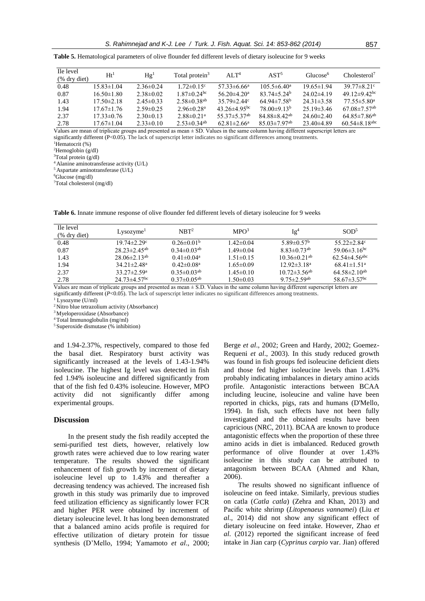**Table 5.** Hematological parameters of olive flounder fed different levels of dietary isoleucine for 9 weeks

| Ile level<br>(% dry diet) | Ht <sup>1</sup>  | Hg <sup>1</sup> | Total protein <sup>3</sup>    | AI.T <sup>4</sup>              | AST <sup>5</sup>               | Glucose <sup>6</sup> | Cholesterol <sup>7</sup>        |
|---------------------------|------------------|-----------------|-------------------------------|--------------------------------|--------------------------------|----------------------|---------------------------------|
| 0.48                      | $15.83 \pm 1.04$ | $2.36\pm0.24$   | $1.72 \pm 0.15$ <sup>c</sup>  | $57.33\pm 6.66^{\circ}$        | $105.5 \pm 6.40^a$             | $19.65 \pm 1.94$     | $39.77 \pm 8.21$ °              |
| 0.87                      | $16.50 \pm 1.80$ | $2.38\pm0.02$   | 1 87 $\pm$ 0 24 <sup>bc</sup> | 56 20 $\pm$ 4 20 <sup>a</sup>  | $8374\pm5.24^{\circ}$          | $24.02\pm4.19$       | 49 12 $\pm$ 9 42 <sup>bc</sup>  |
| 1.43                      | $17.50 \pm 2.18$ | $2.45\pm0.33$   | $2.58 \pm 0.38$ <sup>ab</sup> | $35.79 \pm 2.44$ °             | $64.94\pm7.58b$                | $24.31 \pm 3.58$     | $77.55 \pm 5.80^{\circ}$        |
| 1.94                      | $17.67 \pm 1.76$ | $2.59 \pm 0.25$ | $2.96\pm0.28$ <sup>a</sup>    | 43 26 $\pm$ 4 95 <sup>bc</sup> | $78.00\pm9.13^{\rm b}$         | $25.19\pm3.46$       | $67.08 \pm 7.57$ <sup>ab</sup>  |
| 2.37                      | $17.33\pm 0.76$  | $2.30\pm0.13$   | $2.88 \pm 0.21$ <sup>a</sup>  | $55.37 \pm 5.37$ <sup>ab</sup> | $84.88 \pm 8.42$ <sup>ab</sup> | $24.60 \pm 2.40$     | $64.85 \pm 7.86$ <sup>ab</sup>  |
| 2.78                      | $17.67 \pm 1.04$ | $2.33\pm0.10$   | $2.53 \pm 0.34$ <sup>ab</sup> | $62.81 \pm 2.66^{\circ}$       | $85.03 \pm 7.97$ <sup>ab</sup> | $23.40\pm4.89$       | $60.54 \pm 8.18$ <sup>abc</sup> |

Values are mean of triplicate groups and presented as mean  $\pm$  SD. Values in the same column having different superscript letters are significantly different (P<0.05). The lack of superscript letter indicates no significant differences among treatments*.* <sup>1</sup>Hematocrit (%)

 ${}^{2}$ Hemoglobin (g/dl)

<sup>3</sup>Total protein (g/dl)

<sup>4</sup>Alanine aminotransferase activity (U/L) <sup>5</sup>Aspartate aminotransferase (U/L)

 $6$ Glucose (mg/dl)

<sup>7</sup>Total cholesterol (mg/dl)

**Table 6.** Innate immune response of olive flounder fed different levels of dietary isoleucine for 9 weeks

| Ile level<br>$%$ dry diet) | Lysozyme <sup>T</sup>          | NRT <sup>2</sup>              | MPO <sup>3</sup> | Ig <sup>4</sup>                | SOD <sup>5</sup>                |
|----------------------------|--------------------------------|-------------------------------|------------------|--------------------------------|---------------------------------|
| 0.48                       | $19.74 \pm 2.29$ °             | $0.26 \pm 0.01^b$             | $1.42 \pm 0.04$  | 5.89 $\pm$ 0.57 <sup>b</sup>   | 55.22 $\pm$ 2.84 $\rm{c}$       |
| 0.87                       | $28.23 \pm 2.45$ <sup>ab</sup> | 0 34 $\pm$ 0 03 <sup>ab</sup> | $1.49 \pm 0.04$  | $8.83 \pm 0.73$ <sup>ab</sup>  | 59.06 $\pm$ 3.16 <sup>bc</sup>  |
| 1.43                       | $28.06\pm2.13$ <sup>ab</sup>   | $0.41 \pm 0.04^a$             | $1.51 \pm 0.15$  | 10 36 $\pm$ 0 21 <sup>ab</sup> | $62.54 \pm 4.56$ <sup>abc</sup> |
| 1.94                       | $34.21 \pm 2.48^a$             | $0.42 \pm 0.08^{\text{a}}$    | $1.65 \pm 0.09$  | $12.92 \pm 3.18^a$             | $68.41 \pm 1.51$ <sup>a</sup>   |
| 2.37                       | $33.27 \pm 2.59^{\circ}$       | $0.35 \pm 0.03$ <sup>ab</sup> | $1.45 \pm 0.10$  | $10.72 \pm 3.56$ <sup>ab</sup> | $64.58 \pm 2.10^{ab}$           |
| 2.78                       | 24 73 $\pm$ 4 57 <sup>bc</sup> | $0.37 \pm 0.05$ <sup>ab</sup> | 1.50±0.03        | $9.75 \pm 2.59$ <sup>ab</sup>  | 58.67 $\pm$ 3.57 <sup>bc</sup>  |

Values are mean of triplicate groups and presented as mean  $\pm$  S.D. Values in the same column having different superscript letters are significantly different (*P*<0.05). The lack of superscript letter indicates no significant differences among treatments.

 $1$  Lysozyme (U/ml)

<sup>2</sup> Nitro blue tetrazolium activity (Absorbance)

<sup>3</sup> Myeloperoxidase (Absorbance)

<sup>4</sup> Total Immunoglobulin (mg/ml)

<sup>5</sup> Superoxide dismutase (% inhibition)

and 1.94-2.37%, respectively, compared to those fed the basal diet. Respiratory burst activity was significantly increased at the levels of 1.43-1.94% isoleucine. The highest Ig level was detected in fish fed 1.94% isoleucine and differed significantly from that of the fish fed 0.43% isoleucine. However, MPO activity did not significantly differ among experimental groups.

#### **Discussion**

In the present study the fish readily accepted the semi-purified test diets, however, relatively low growth rates were achieved due to low rearing water temperature. The results showed the significant enhancement of fish growth by increment of dietary isoleucine level up to 1.43% and thereafter a decreasing tendency was achieved. The increased fish growth in this study was primarily due to improved feed utilization efficiency as significantly lower FCR and higher PER were obtained by increment of dietary isoleucine level. It has long been demonstrated that a balanced amino acids profile is required for effective utilization of dietary protein for tissue synthesis (D'Mello, 1994; Yamamoto *et al*., 2000; Berge *et al*., 2002; Green and Hardy, 2002; Goemez-Requeni *et al*., 2003). In this study reduced growth was found in fish groups fed isoleucine deficient diets and those fed higher isoleucine levels than 1.43% probably indicating imbalances in dietary amino acids profile. Antagonistic interactions between BCAA including leucine, isoleucine and valine have been reported in chicks, pigs, rats and humans (D'Mello, 1994). In fish, such effects have not been fully investigated and the obtained results have been capricious (NRC, 2011). BCAA are known to produce antagonistic effects when the proportion of these three amino acids in diet is imbalanced. Reduced growth performance of olive flounder at over 1.43% isoleucine in this study can be attributed to antagonism between BCAA (Ahmed and Khan, 2006).

The results showed no significant influence of isoleucine on feed intake. Similarly, previous studies on catla (*Catla catla*) (Zehra and Khan, 2013) and Pacific white shrimp (*Litopenaeus vannamei*) (Liu *et al*., 2014) did not show any significant effect of dietary isoleucine on feed intake. However, Zhao *et al*. (2012) reported the significant increase of feed intake in Jian carp (*Cyprinus carpio* var. Jian) offered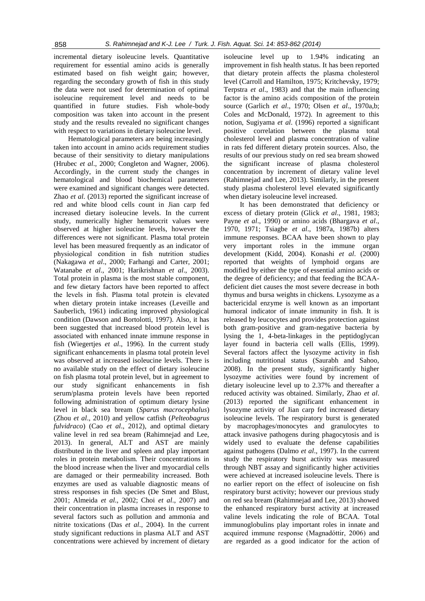incremental dietary isoleucine levels. Quantitative requirement for essential amino acids is generally estimated based on fish weight gain; however, regarding the secondary growth of fish in this study the data were not used for determination of optimal isoleucine requirement level and needs to be quantified in future studies. Fish whole-body composition was taken into account in the present study and the results revealed no significant changes with respect to variations in dietary isoleucine level.

Hematological parameters are being increasingly taken into account in amino acids requirement studies because of their sensitivity to dietary manipulations (Hrubec *et al*., 2000; Congleton and Wagner, 2006). Accordingly, in the current study the changes in hematological and blood biochemical parameters were examined and significant changes were detected. Zhao *et al*. (2013) reported the significant increase of red and white blood cells count in Jian carp fed increased dietary isoleucine levels. In the current study, numerically higher hematocrit values were observed at higher isoleucine levels, however the differences were not significant. Plasma total protein level has been measured frequently as an indicator of physiological condition in fish nutrition studies (Nakagawa *et al*., 2000; Farhangi and Carter, 2001; Watanabe *et al*., 2001; Harikrishnan *et al*., 2003). Total protein in plasma is the most stable component, and few dietary factors have been reported to affect the levels in fish. Plasma total protein is elevated when dietary protein intake increases (Leveille and Sauberlich, 1961) indicating improved physiological condition (Dawson and Bortolotti, 1997). Also, it has been suggested that increased blood protein level is associated with enhanced innate immune response in fish (Wiegertjes *et al*., 1996). In the current study significant enhancements in plasma total protein level was observed at increased isoleucine levels. There is no available study on the effect of dietary isoleucine on fish plasma total protein level, but in agreement to our study significant enhancements in fish serum/plasma protein levels have been reported following administration of optimum dietary lysine level in black sea bream (*Sparus macrocephalus*) (Zhou *et al*., 2010) and yellow catfish (*Pelteobagrus fulvidraco*) (Cao *et al*., 2012), and optimal dietary valine level in red sea bream (Rahimnejad and Lee, 2013). In general, ALT and AST are mainly distributed in the liver and spleen and play important roles in protein metabolism. Their concentrations in the blood increase when the liver and myocardial cells are damaged or their permeability increased. Both enzymes are used as valuable diagnostic means of stress responses in fish species (De Smet and Blust, 2001; Almeida *et al*., 2002; Choi *et al*., 2007) and their concentration in plasma increases in response to several factors such as pollution and ammonia and nitrite toxications (Das *et al*., 2004). In the current study significant reductions in plasma ALT and AST concentrations were achieved by increment of dietary

isoleucine level up to 1.94% indicating an improvement in fish health status. It has been reported that dietary protein affects the plasma cholesterol level (Carroll and Hamilton, 1975; Kritchevsky, 1979; Terpstra *et al*., 1983) and that the main influencing factor is the amino acids composition of the protein source (Garlich *et al*., 1970; Olsen *et al*., 1970a,b; Coles and McDonald, 1972). In agreement to this notion, Sugiyama *et al*. (1996) reported a significant positive correlation between the plasma total cholesterol level and plasma concentration of valine in rats fed different dietary protein sources. Also, the results of our previous study on red sea bream showed the significant increase of plasma cholesterol concentration by increment of dietary valine level (Rahimnejad and Lee, 2013). Similarly, in the present study plasma cholesterol level elevated significantly when dietary isoleucine level increased.

It has been demonstrated that deficiency or excess of dietary protein (Glick *et al*., 1981, 1983; Payne *et al*., 1990) or amino acids (Bhargava *et al*., 1970, 1971; Tsiagbe *et al*., 1987a, 1987b) alters immune responses. BCAA have been shown to play very important roles in the immune organ development (Kidd, 2004). Konashi *et al*. (2000) reported that weights of lymphoid organs are modified by either the type of essential amino acids or the degree of deficiency; and that feeding the BCAAdeficient diet causes the most severe decrease in both thymus and bursa weights in chickens. Lysozyme as a bactericidal enzyme is well known as an important humoral indicator of innate immunity in fish. It is released by leucocytes and provides protection against both gram-positive and gram-negative bacteria by lysing the 1, 4-beta-linkages in the peptidoglycan layer found in bacteria cell walls (Ellis, 1999). Several factors affect the lysozyme activity in fish including nutritional status (Saurabh and Sahoo, 2008). In the present study, significantly higher lysozyme activities were found by increment of dietary isoleucine level up to 2.37% and thereafter a reduced activity was obtained. Similarly, Zhao *et al*. (2013) reported the significant enhancement in lysozyme activity of Jian carp fed increased dietary isoleucine levels. The respiratory burst is generated by macrophages/monocytes and granulocytes to attack invasive pathogens during phagocytosis and is widely used to evaluate the defense capabilities against pathogens (Dalmo *et al*., 1997). In the current study the respiratory burst activity was measured through NBT assay and significantly higher activities were achieved at increased isoleucine levels. There is no earlier report on the effect of isoleucine on fish respiratory burst activity; however our previous study on red sea bream (Rahimnejad and Lee, 2013) showed the enhanced respiratory burst activity at increased valine levels indicating the role of BCAA. Total immunoglobulins play important roles in innate and acquired immune response (Magnadóttir, 2006) and are regarded as a good indicator for the action of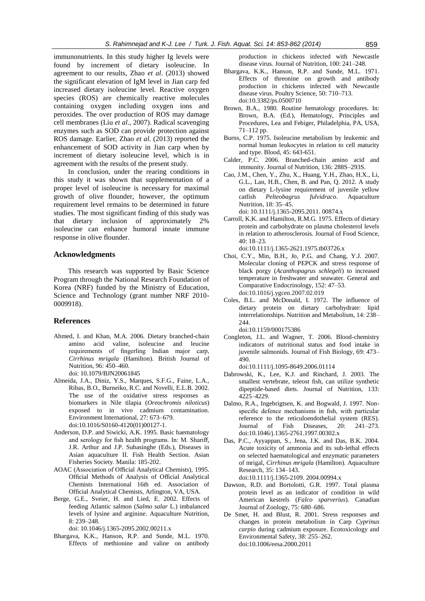immunonutrients. In this study higher Ig levels were found by increment of dietary isoleucine. In agreement to our results, Zhao *et al*. (2013) showed the significant elevation of IgM level in Jian carp fed increased dietary isoleucine level. Reactive oxygen species (ROS) are chemically reactive molecules containing oxygen including oxygen ions and peroxides. The over production of ROS may damage cell membranes (Liu *et al*., 2007). Radical scavenging enzymes such as SOD can provide protection against ROS damage. Earlier, Zhao et al. (2013) reported the enhancement of SOD activity in Jian carp when by increment of dietary isoleucine level, which is in agreement with the results of the present study.

In conclusion, under the rearing conditions in this study it was shown that supplementation of a proper level of isoleucine is necessary for maximal growth of olive flounder, however, the optimum requirement level remains to be determined in future studies. The most significant finding of this study was that dietary inclusion of approximately 2% isoleucine can enhance humoral innate immune response in olive flounder.

# **Acknowledgments**

This research was supported by Basic Science Program through the National Research Foundation of Korea (NRF) funded by the Ministry of Education, Science and Technology (grant number NRF 2010- 0009918).

#### **References**

- Ahmed, I. and Khan, M.A. 2006. Dietary branched-chain amino acid valine, isoleucine and leucine requirements of fingerling Indian major carp, *Cirrhinus mrigala* (Hamilton). British Journal of Nutrition, 96: 450–460. doi: 10.1079/BJN20061845
- Almeida, J.A., Diniz, Y.S., Marques, S.F.G., Faine, L.A., Ribas, B.O., Burneiko, R.C. and Novelli, E.L.B. 2002. The use of the oxidative stress responses as biomarkers in Nile tilapia (*Oreochromis niloticus*) exposed to in vivo cadmium contamination. Environment International, 27: 673–679. doi:10.1016/S0160-4120(01)00127-1.
- Anderson, D.P. and Siwicki, A.K. 1995. Basic haematology and serology for fish health programs. In: M. Shariff, J.R. Arthur and J.P. Subasinghe (Eds.), Diseases in Asian aquaculture II. Fish Health Section. Asian Fisheries Society. Manila: 185-202.
- AOAC (Association of Official Analytical Chemists), 1995. Official Methods of Analysis of Official Analytical Chemists International 16th ed. Association of Official Analytical Chemists, Arlington, VA, USA.
- Berge, G.E., Sveier, H. and Lied, E. 2002. Effects of feeding Atlantic salmon (*Salmo salar* L.) imbalanced levels of lysine and arginine. Aquaculture Nutrition,  $8: 239 - 248$

doi: 10.1046/j.1365-2095.2002.00211.x

Bhargava, K.K., Hanson, R.P. and Sunde, M.L. 1970. Effects of methionine and valine on antibody production in chickens infected with Newcastle disease virus. Journal of Nutrition, 100: 241–248.

- Bhargava, K.K., Hanson, R.P. and Sunde, M.L. 1971. Effects of threonine on growth and antibody production in chickens infected with Newcastle disease virus. Poultry Science, 50: 710–713. doi:10.3382/ps.0500710
- Brown, B.A., 1980. Routine hematology procedures. In: Brown, B.A. (Ed.), Hematology, Principles and Procedures, Lea and Febiger, Philadelphia, PA, USA, 71–112 pp.
- Burns, C.P. 1975. Isoleucine metabolism by leukemic and normal human leukocytes in relation to cell maturity and type. Blood, 45: 643-651.
- Calder, P.C. 2006. Branched-chain amino acid and immunity. Journal of Nutrition, 136: 288S–293S.
- Cao, J.M., Chen, Y., Zhu, X., Huang, Y.H., Zhao, H.X., Li, G.L., Lan, H.B., Chen, B. and Pan, Q. 2012. A study on dietary L-lysine requirement of juvenile yellow catfish *Pelteobagrus fulvidraco*. Aquaculture Nutrition, 18: 35–45. doi: 10.1111/j.1365-2095.2011. 00874.x
- Carroll, K.K. and Hamilton, R.M.G. 1975. Effects of dietary protein and carbohydrate on plasma cholesterol levels in relation to atherosclerosis. Journal of Food Science, 40: 18–23.
	- doi:10.1111/j.1365-2621.1975.tb03726.x
- Choi, C.Y., Min, B.H., Jo, P.G. and Chang, Y.J. 2007. Molecular cloning of PEPCK and stress response of black porgy (*Acanthopagrus schlegeli*) to increased temperature in freshwater and seawater. General and Comparative Endocrinology, 152: 47–53. [doi:10.1016/j.ygcen.2007.02.019](http://dx.doi.org/10.1016/j.ygcen.2007.02.019)
- Coles, B.L. and McDonald, I. 1972. The influence of dietary protein on dietary carbohydrate: lipid interrelationships. Nutrition and Metabolism, 14: 238– 244. doi:10.1159/000175386
- Congleton, J.L. and Wagner, T. 2006. Blood-chemistry indicators of nutritional status and food intake in juvenile salmonids. Journal of Fish Biology, 69: 473– 490. doi:10.1111/j.1095-8649.2006.01114
- Dabrowski, K., Lee, K.J. and Rinchard, J. 2003. The smallest vertebrate, teleost fish, can utilize synthetic dipeptide-based diets. Journal of Nutrition, 133: 4225–4229.
- Dalmo, R.A., Ingebrigtsen, K. and Bogwald, J. 1997. Nonspecific defence mechanisms in fish, with particular reference to the reticuloendothelial system (RES). Journal of Fish Diseases, 20: 241–273. doi:10.1046/j.1365-2761.1997.00302.x
- Das, P.C., Ayyappan, S., Jena, J.K. and Das, B.K. 2004. Acute toxicity of ammonia and its sub-lethal effects on selected haematological and enzymatic parameters of mrigal, *Cirrhinus mrigala* (Hamilton). Aquaculture Research, 35: 134–143.

doi:10.1111/j.1365-2109. 2004.00994.x

- Dawson, R.D. and Bortolotti, G.R. 1997. Total plasma protein level as an indicator of condition in wild American kestrels (*Falco sparverius*). Canadian Journal of Zoology, 75: 680–686.
- De Smet, H. and Blust, R. 2001. Stress responses and changes in protein metabolism in Carp *Cyprinus carpio* during cadmium exposure. Ecotoxicology and Environmental Safety, 38: 255–262. doi:10.1006/eesa.2000.2011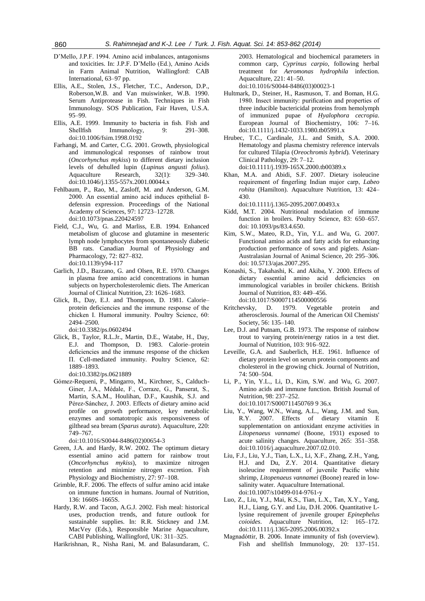- D'Mello, J.P.F. 1994. Amino acid imbalances, antagonisms and toxicities. In: J.P.F. D'Mello (Ed.), Amino Acids in Farm Animal Nutrition, Wallingford: CAB International, 63–97 pp.
- Ellis, A.E., Stolen, J.S., Fletcher, T.C., Anderson, D.P., Roberson,W.B. and Van muiswinker, W.B. 1990. Serum Antiprotease in Fish. Techniques in Fish Immunology. SOS Publication, Fair Haven, U.S.A. 95–99.
- Ellis, A.E. 1999. Immunity to bacteria in fish. Fish and Shellfish Immunology, 9: 291–308. [doi:10.1006/fsim.1998.0192](http://dx.doi.org/10.1006/fsim.1998.0192)
- Farhangi, M. and Carter, C.G. 2001. Growth, physiological and immunological responses of rainbow trout (*Oncorhynchus mykiss*) to different dietary inclusion levels of dehulled lupin (*Lupinus angusti folius*). Aquaculture Research, 32(1): 329–340. doi:10.1046/j.1355-557x.2001.00044.x
- Fehlbaum, P., Rao, M., Zasloff, M. and Anderson, G.M. 2000. An essential amino acid induces epithelial ßdefensin expression. Proceedings of the National Academy of Sciences, 97: 12723–12728. doi:10.1073/pnas.220424597
- Field, C.J., Wu, G. and Marliss, E.B. 1994. Enhanced metabolism of glucose and glutamine in mesenteric lymph node lymphocytes from spontaneously diabetic BB rats. Canadian Journal of Physiology and Pharmacology, 72: 827–832. doi:10.1139/y94-117
- Garlich, J.D., Bazzano, G. and Olsen, R.E. 1970. Changes in plasma free amino acid concentrations in human subjects on hypercholesterolemic diets. The American Journal of Clinical Nutrition, 23: 1626–1683.
- Glick, B., Day, E.J. and Thompson, D. 1981. Calorie– protein deficiencies and the immune response of the chicken Ι. Humoral immunity. Poultry Science, 60: 2494–2500. doi:10.3382/ps.0602494
- Glick, B., Taylor, R.L.Jr., Martin, D.E., Watabe, H., Day, E.J. and Thompson, D. 1983. Calorie–protein deficiencies and the immune response of the chicken П. Cell-mediated immunity. Poultry Science, 62: 1889–1893.
	- doi:10.3382/ps.0621889
- Gόmez-Requeni, P., Mingarro, M., Kirchner, S., Calduch-Giner, J.A., Médale, F., Corraze, G., Panserat, S., Martin, S.A.M., Houlihan, D.F., Kaushik, S.J. and Pérez-Sánchez, J. 2003. Effects of dietary amino acid profile on growth performance, key metabolic enzymes and somatotropic axis responsiveness of gilthead sea bream (*Sparus aurata*). Aquaculture, 220: 749–767.

[doi:10.1016/S0044-8486\(02\)00654-3](http://dx.doi.org/10.1016/S0044-8486%2802%2900654-3)

- Green, J.A. and Hardy, R.W. 2002. The optimum dietary essential amino acid pattern for rainbow trout (*Oncorhynchus mykiss*), to maximize nitrogen retention and minimize nitrogen excretion. Fish Physiology and Biochemistry, 27: 97–108.
- Grimble, R.F. 2006. The effects of sulfur amino acid intake on immune function in humans. Journal of Nutrition, 136: 1660S–1665S.
- Hardy, R.W. and Tacon, A.G.J. 2002. Fish meal: historical uses, production trends, and future outlook for sustainable supplies. In: R.R. Stickney and J.M. MacVey (Eds.), Responsible Marine Aquaculture, CABI Publishing, Wallingford, UK: 311–325.
- Harikrishnan, R., Nisha Rani, M. and Balasundaram, C.

2003. Hematological and biochemical parameters in common carp, *Cyprinus carpio*, following herbal treatment for *Aeromonas hydrophila* infection. Aquaculture, 221: 41–50.

[doi:10.1016/S0044-8486\(03\)00023-1](http://dx.doi.org/10.1016/S0044-8486%2803%2900023-1)

- Hultmark, D., Steiner, H., Rasmuson, T. and Boman, H.G. 1980. Insect immunity: purification and properties of three inducible bactericidal proteins from hemolymph of immunized pupae of *Hyalophora cecropia*. European Journal of Biochemistry, 106: 7–16. doi:10.1111/j.1432-1033.1980.tb05991.x
- Hrubec, T.C., Cardinale, J.L. and Smith, S.A. 2000. Hematology and plasma chemistry reference intervals for cultured Tilapia (*Oreochromis hybrid*). Veterinary Clinical Pathology, 29: 7–12. doi:10.1111/j.1939-165X.2000.tb00389.x
- Khan, M.A. and Abidi, S.F. 2007. Dietary isoleucine requirement of fingerling Indian major carp, *Labeo rohita* (Hamilton). Aquaculture Nutrition, 13: 424– 430.

doi:10.1111/j.1365-2095.2007.00493.x

- Kidd, M.T. 2004. Nutritional modulation of immune function in broilers. Poultry Science, 83: 650–657. doi: 10.1093/ps/83.4.650.
- Kim, S.W., Mateo, R.D., Yin, Y.L. and Wu, G. 2007. Functional amino acids and fatty acids for enhancing production performance of sows and piglets. Asian-Australasian Journal of Animal Science, 20: 295–306. doi: 10.5713/ajas.2007.295.
- Konashi, S., Takahashi, K. and Akiba, Y. 2000. Effects of dietary essential amino acid deficiencies on immunological variables in broiler chickens. British Journal of Nutrition, 83: 449–456. doi:10.1017/S0007114500000556
- Kritchevsky, D. 1979. Vegetable protein and atherosclerosis. Journal of the American Oil Chemists' Society, 56: 135–140.
- Lee, D.J. and Putnam, G.B. 1973. The response of rainbow trout to varying protein/energy ratios in a test diet. Journal of Nutrition, 103: 916–922.
- Leveille, G.A. and Sauberlich, H.E. 1961. Influence of dietary protein level on serum protein components and cholesterol in the growing chick. Journal of Nutrition, 74: 500–504.
- Li, P., Yin, Y.L., Li, D., Kim, S.W. and Wu, G. 2007. Amino acids and immune function. British Journal of Nutrition, 98: 237–252. doi:10.1017/S000711450769 9 36.x
- Liu, Y., Wang, W.N., Wang, A.L., Wang, J.M. and Sun, R.Y. 2007. Effects of dietary vitamin E supplementation on antioxidant enzyme activities in *Litopenaeus vannamei* (Boone, 1931) exposed to acute salinity changes. Aquaculture, 265: 351–358. [doi:10.1016/j.aquaculture.2007.02.010.](http://dx.doi.org/10.1016/j.aquaculture.2007.02.010)
- Liu, F.J., Liu, Y.J., Tian, L.X., Li, X.F., Zhang, Z.H., Yang, H.J. and Du, Z.Y. 2014. Quantitative dietary isoleucine requirement of juvenile Pacific white shrimp, *Litopenaeus vannamei* (Boone) reared in lowsalinity water. Aquaculture International. doi:10.1007/s10499-014-9761-y
- Luo, Z., Liu, Y.J., Mai, K.S., Tian, L.X., Tan, X.Y., Yang, H.J., Liang, G.Y. and Liu, D.H. 2006. Quantitative Llysine requirement of juvenile grouper *Epinephelus coioides*. Aquaculture Nutrition, 12: 165–172. doi:10.1111/j.1365-2095.2006.00392.x
- Magnadóttir, B. 2006. Innate immunity of fish (overview). Fish and shellfish Immunology, 20: 137–151.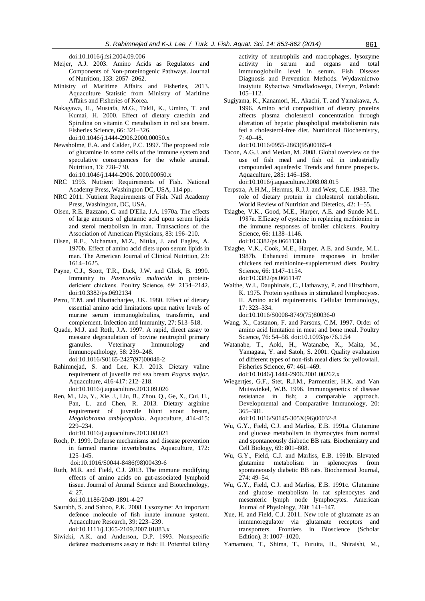[doi:10.1016/j.fsi.2004.09.006](http://dx.doi.org/10.1016/j.fsi.2004.09.006)

- Meijer, A.J. 2003. Amino Acids as Regulators and Components of Non-proteinogenic Pathways. Journal of Nutrition, 133: 2057–2062.
- Ministry of Maritime Affairs and Fisheries, 2013. Aquaculture Statistic from Ministry of Maritime Affairs and Fisheries of Korea.
- Nakagawa, H., Mustafa, M.G., Takii, K., Umino, T. and Kumai, H. 2000. Effect of dietary catechin and Spirulina on vitamin C metabolism in red sea bream. Fisheries Science, 66: 321–326. doi:10.1046/j.1444-2906.2000.00050.x
- Newsholme, E.A. and Calder, P.C. 1997. The proposed role of glutamine in some cells of the immune system and speculative consequences for the whole animal. Nutrition, 13: 728–730.

doi:10.1046/j.1444-2906. 2000.00050.x

- NRC 1993. Nutrient Requirements of Fish. National Academy Press, Washington DC, USA, 114 pp.
- NRC 2011. Nutrient Requirements of Fish. Natl Academy Press, Washington, DC, USA.
- Olsen, R.E. Bazzano, C. and D'Elia, J.A. 1970a. The effects of large amounts of glutamic acid upon serum lipids and sterol metabolism in man. Transactions of the Association of American Physicians, 83: 196–210.
- Olsen, R.E., Nichaman, M.Z., Nittka, J. and Eagles, A. 1970b. Effect of amino acid diets upon serum lipids in man. The American Journal of Clinical Nutrition, 23: 1614–1625.
- Payne, C.J., Scott, T.R., Dick, J.W. and Glick, B. 1990. Immunity to *Pasteurella multocida* in proteindeficient chickens. Poultry Science, 69: 2134–2142. doi:10.3382/ps.0692134
- Petro, T.M. and Bhattacharjee, J.K. 1980. Effect of dietary essential amino acid limitations upon native levels of murine serum immunoglobulins, transferrin, and complement. Infection and Immunity, 27: 513–518.
- Quade, M.J. and Roth, J.A. 1997. A rapid, direct assay to measure degranulation of bovine neutrophil primary granules. Veterinary Immunology and Immunopathology, 58: 239–248. [doi:10.1016/S0165-2427\(97\)00048-2](http://dx.doi.org/10.1016/S0165-2427%2897%2900048-2)
- Rahimnejad, S. and Lee, K.J. 2013. Dietary valine requirement of juvenile red sea bream *Pagrus major*. Aquaculture, 416-417: 212–218. [doi:10.1016/j.aquaculture.2013.09.026](http://dx.doi.org/10.1016/j.aquaculture.2013.09.026)
- Ren, M., Lia, Y., Xie, J., Liu, B., Zhou, Q., Ge, X., Cui, H., Pan, L. and Chen, R. 2013. Dietary arginine requirement of juvenile blunt snout bream, *Megalobrama amblycephala*. Aquaculture, 414-415: 229–234.

[doi:10.1016/j.aquaculture.2013.08.021](http://dx.doi.org/10.1016/j.aquaculture.2013.08.021)

Roch, P. 1999. Defense mechanisms and disease prevention in farmed marine invertebrates. Aquaculture, 172: 125–145.

[doi:10.1016/S0044-8486\(98\)00439-6](http://dx.doi.org/10.1016/S0044-8486%2898%2900439-6)

Ruth, M.R. and Field, C.J. 2013. The immune modifying effects of amino acids on gut-associated lymphoid tissue. Journal of Animal Science and Biotechnology, 4: 27.

doi:10.1186/2049-1891-4-27

Saurabh, S. and Sahoo, P.K. 2008. Lysozyme: An important defence molecule of fish innate immune system. Aquaculture Research, 39: 223–239.

doi:10.1111/j.1365-2109.2007.01883.x

Siwicki, A.K. and Anderson, D.P. 1993. Nonspecific defense mechanisms assay in fish: II. Potential killing

activity of neutrophils and macrophages, lysozyme activity in serum and organs and total immunoglobulin level in serum. Fish Disease Diagnosis and Prevention Methods. Wydawnictwo Instytutu Rybactwa Strodladowego, Olsztyn, Poland: 105–112.

Sugiyama, K., Kanamori, H., Akachi, T. and Yamakawa, A. 1996. Amino acid composition of dietary proteins affects plasma cholesterol concentration through alteration of hepatic phospholipid metabolismin rats fed a cholesterol-free diet. Nutritional Biochemistry, 7: 40–48.

[doi:10.1016/0955-2863\(95\)00165-4](http://dx.doi.org/10.1016/0955-2863%2895%2900165-4)

Tacon, A.G.J. and Metian, M. 2008. Global overview on the use of fish meal and fish oil in industrially compounded aquafeeds: Trends and future prospects. Aquaculture, 285: 146–158.

[doi:10.1016/j.aquaculture.2008.08.015](http://dx.doi.org/10.1016/j.aquaculture.2008.08.015)

- Terpstra, A.H.M., Hermus, R.J.J. and West, C.E. 1983. The role of dietary protein in cholesterol metabolism. World Review of Nutrition and Dietetics, 42: 1–55.
- Tsiagbe, V.K., Good, M.E., Harper, A.E. and Sunde M.L. 1987a. Efficacy of cysteine in replacing methionine in the immune responses of broiler chickens. Poultry Science, 66: 1138–1146. doi:10.3382/ps.0661138.b
- Tsiagbe, V.K., Cook, M.E., Harper, A.E. and Sunde, M.L. 1987b. Enhanced immune responses in broiler chickens fed methionine-supplemented diets. Poultry Science, 66: 1147–1154. doi:10.3382/ps.0661147
- Waithe, W.I., Dauphinais, C., Hathaway, P. and Hirschhorn, K. 1975. Protein synthesis in stimulated lymphocytes. II. Amino acid requirements. Cellular Immunology, 17: 323–334.

[doi:10.1016/S0008-8749\(75\)80036-0](http://dx.doi.org/10.1016/S0008-8749%2875%2980036-0)

- Wang, X., Castanon, F. and Parsons, C.M. 1997. Order of amino acid limitation in meat and bone meal. Poultry Science, 76: 54–58. doi:10.1093/ps/76.1.54
- Watanabe, T., Aoki, H., Watanabe, K., Maita, M., Yamagata, Y. and Satoh, S. 2001. Quality evaluation of different types of non-fish meal diets for yellowtail. Fisheries Science, 67: 461–469. doi:10.1046/j.1444-2906.2001.00262.x
- Wiegertjes, G.F., Stet, R.J.M., Parmentier, H.K. and Van Muiswinkel, W.B. 1996. Immunogenetics of disease resistance in fish; a comparable approach. Developmental and Comparative Immunology, 20: 365–381.

[doi:10.1016/S0145-305X\(96\)00032-8](http://dx.doi.org/10.1016/S0145-305X%2896%2900032-8)

- Wu, G.Y., Field, C.J. and Marliss, E.B. 1991a. Glutamine and glucose metabolism in thymocytes from normal and spontaneously diabetic BB rats. Biochemistry and Cell Biology, 69: 801–808.
- Wu, G.Y., Field, C.J. and Marliss, E.B. 1991b. Elevated glutamine metabolism in splenocytes from spontaneously diabetic BB rats. Biochemical Journal, 274: 49–54.
- Wu, G.Y., Field, C.J. and Marliss, E.B. 1991c. Glutamine and glucose metabolism in rat splenocytes and mesenteric lymph node lymphocytes. American Journal of Physiology, 260: 141–147.
- Xue, H. and Field, C.J. 2011. New role of glutamate as an immunoregulator via glutamate receptors and transporters. Frontiers in Bioscience (Scholar Edition), 3: 1007–1020.
- Yamamoto, T., Shima, T., Furuita, H., Shiraishi, M.,